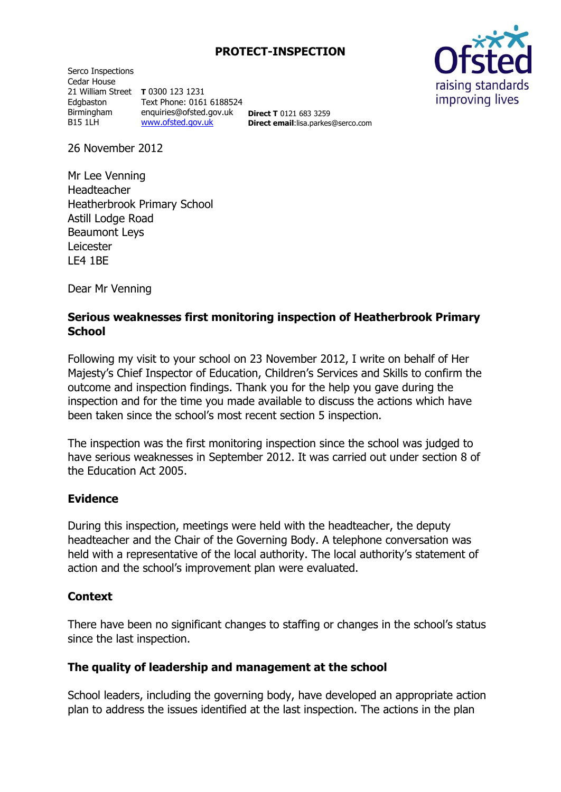## **PROTECT-INSPECTION**

Serco Inspections Cedar House 21 William Street **T** 0300 123 1231 Edgbaston Birmingham B15 1LH Text Phone: 0161 6188524 enquiries@ofsted.gov.uk [www.ofsted.gov.uk](http://www.ofsted.gov.uk/)

**Direct T** 0121 683 3259 **Direct email**:lisa.parkes@serco.com



26 November 2012

Mr Lee Venning Headteacher Heatherbrook Primary School Astill Lodge Road Beaumont Leys Leicester LE4 1BE

Dear Mr Venning

## **Serious weaknesses first monitoring inspection of Heatherbrook Primary School**

Following my visit to your school on 23 November 2012, I write on behalf of Her Majesty's Chief Inspector of Education, Children's Services and Skills to confirm the outcome and inspection findings. Thank you for the help you gave during the inspection and for the time you made available to discuss the actions which have been taken since the school's most recent section 5 inspection.

The inspection was the first monitoring inspection since the school was judged to have serious weaknesses in September 2012. It was carried out under section 8 of the Education Act 2005.

#### **Evidence**

During this inspection, meetings were held with the headteacher, the deputy headteacher and the Chair of the Governing Body. A telephone conversation was held with a representative of the local authority. The local authority's statement of action and the school's improvement plan were evaluated.

#### **Context**

There have been no significant changes to staffing or changes in the school's status since the last inspection.

#### **The quality of leadership and management at the school**

School leaders, including the governing body, have developed an appropriate action plan to address the issues identified at the last inspection. The actions in the plan